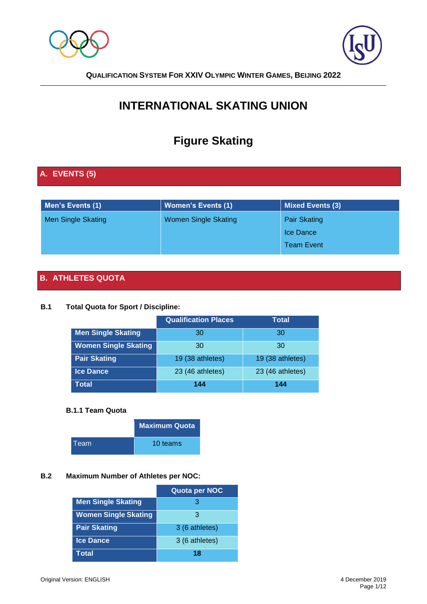



# **INTERNATIONAL SKATING UNION**

# **Figure Skating**

# **A. EVENTS (5)**

| Men's Events (1)          | <b>Women's Events (1)</b>   | Mixed Events (3)    |
|---------------------------|-----------------------------|---------------------|
| <b>Men Single Skating</b> | <b>Women Single Skating</b> | <b>Pair Skating</b> |
|                           |                             | Ice Dance           |
|                           |                             | <b>Team Event</b>   |

# **B. ATHLETES QUOTA**

#### **B.1 Total Quota for Sport / Discipline:**

|                             | <b>Qualification Places</b> | <b>Total</b>     |
|-----------------------------|-----------------------------|------------------|
| <b>Men Single Skating</b>   | 30                          | 30               |
| <b>Women Single Skating</b> | 30                          | 30               |
| <b>Pair Skating</b>         | 19 (38 athletes)            | 19 (38 athletes) |
| <b>Ice Dance</b>            | 23 (46 athletes)            | 23 (46 athletes) |
| Total                       | 144                         | 144              |

#### **B.1.1 Team Quota**

|      | <b>Maximum Quota</b> |
|------|----------------------|
| Team | 10 teams             |

## **B.2 Maximum Number of Athletes per NOC:**

|                             | Quota per NOC  |
|-----------------------------|----------------|
| <b>Men Single Skating</b>   | З              |
| <b>Women Single Skating</b> | З              |
| <b>Pair Skating</b>         | 3 (6 athletes) |
| <b>Ice Dance</b>            | 3 (6 athletes) |
| Total                       | 18             |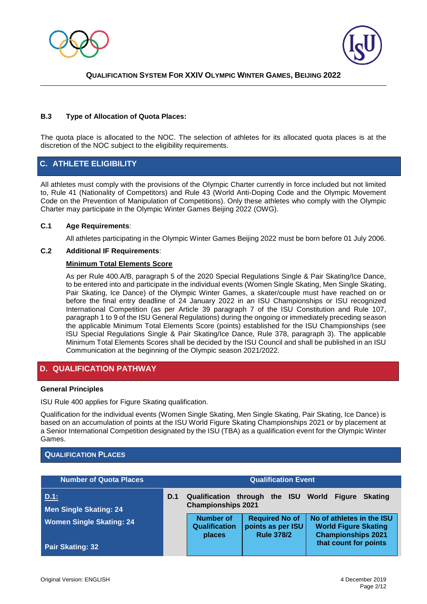



#### **B.3 Type of Allocation of Quota Places:**

The quota place is allocated to the NOC. The selection of athletes for its allocated quota places is at the discretion of the NOC subject to the eligibility requirements.

#### **C. ATHLETE ELIGIBILITY**

All athletes must comply with the provisions of the Olympic Charter currently in force included but not limited to, Rule 41 (Nationality of Competitors) and Rule 43 (World Anti-Doping Code and the Olympic Movement Code on the Prevention of Manipulation of Competitions). Only these athletes who comply with the Olympic Charter may participate in the Olympic Winter Games Beijing 2022 (OWG).

#### **C.1 Age Requirements**:

All athletes participating in the Olympic Winter Games Beijing 2022 must be born before 01 July 2006.

#### **C.2 Additional IF Requirements**:

#### **Minimum Total Elements Score**

As per Rule 400.A/B, paragraph 5 of the 2020 Special Regulations Single & Pair Skating/Ice Dance, to be entered into and participate in the individual events (Women Single Skating, Men Single Skating, Pair Skating, Ice Dance) of the Olympic Winter Games, a skater/couple must have reached on or before the final entry deadline of 24 January 2022 in an ISU Championships or ISU recognized International Competition (as per Article 39 paragraph 7 of the ISU Constitution and Rule 107, paragraph 1 to 9 of the ISU General Regulations) during the ongoing or immediately preceding season the applicable Minimum Total Elements Score (points) established for the ISU Championships (see ISU Special Regulations Single & Pair Skating/Ice Dance, Rule 378, paragraph 3). The applicable Minimum Total Elements Scores shall be decided by the ISU Council and shall be published in an ISU Communication at the beginning of the Olympic season 2021/2022.

#### **D. QUALIFICATION PATHWAY**

#### **General Principles**

ISU Rule 400 applies for Figure Skating qualification.

Qualification for the individual events (Women Single Skating, Men Single Skating, Pair Skating, Ice Dance) is based on an accumulation of points at the ISU World Figure Skating Championships 2021 or by placement at a Senior International Competition designated by the ISU (TBA) as a qualification event for the Olympic Winter Games.

#### **QUALIFICATION PLACES**

| <b>Number of Quota Places</b>         | <b>Qualification Event</b> |                                                    |                                                                 |                                                                                       |
|---------------------------------------|----------------------------|----------------------------------------------------|-----------------------------------------------------------------|---------------------------------------------------------------------------------------|
| D.1:<br><b>Men Single Skating: 24</b> | D.1                        | <b>Qualification</b><br><b>Championships 2021</b>  | through the ISU World Figure                                    | <b>Skating</b>                                                                        |
| <b>Women Single Skating: 24</b>       |                            | <b>Number of</b><br><b>Qualification</b><br>places | <b>Required No of</b><br>points as per ISU<br><b>Rule 378/2</b> | No of athletes in the ISU<br><b>World Figure Skating</b><br><b>Championships 2021</b> |
| <b>Pair Skating: 32</b>               |                            |                                                    |                                                                 | that count for points                                                                 |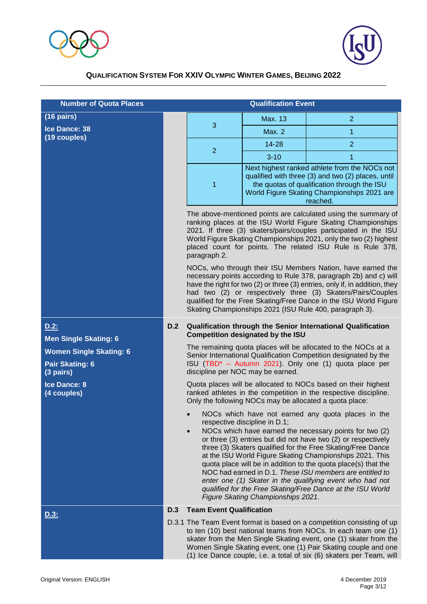



| <b>Number of Quota Places</b>                                                   |                                                                                                                                                                                              |                                                                                                                                                                                                                                                                                                                                                       | <b>Qualification Event</b>                                                                                                                                                                                                                                                                                                                                                                                     |                                                                                                                                                                                                                                                                                                                                                                                                                                                                                                                                                                   |  |
|---------------------------------------------------------------------------------|----------------------------------------------------------------------------------------------------------------------------------------------------------------------------------------------|-------------------------------------------------------------------------------------------------------------------------------------------------------------------------------------------------------------------------------------------------------------------------------------------------------------------------------------------------------|----------------------------------------------------------------------------------------------------------------------------------------------------------------------------------------------------------------------------------------------------------------------------------------------------------------------------------------------------------------------------------------------------------------|-------------------------------------------------------------------------------------------------------------------------------------------------------------------------------------------------------------------------------------------------------------------------------------------------------------------------------------------------------------------------------------------------------------------------------------------------------------------------------------------------------------------------------------------------------------------|--|
| $(16 \text{ pairs})$                                                            |                                                                                                                                                                                              |                                                                                                                                                                                                                                                                                                                                                       | Max. 13                                                                                                                                                                                                                                                                                                                                                                                                        | $\overline{2}$                                                                                                                                                                                                                                                                                                                                                                                                                                                                                                                                                    |  |
| Ice Dance: 38                                                                   |                                                                                                                                                                                              | 3                                                                                                                                                                                                                                                                                                                                                     | <b>Max. 2</b>                                                                                                                                                                                                                                                                                                                                                                                                  | 1                                                                                                                                                                                                                                                                                                                                                                                                                                                                                                                                                                 |  |
| (19 couples)                                                                    |                                                                                                                                                                                              |                                                                                                                                                                                                                                                                                                                                                       | 14-28                                                                                                                                                                                                                                                                                                                                                                                                          | $\overline{2}$                                                                                                                                                                                                                                                                                                                                                                                                                                                                                                                                                    |  |
|                                                                                 |                                                                                                                                                                                              | $\overline{2}$                                                                                                                                                                                                                                                                                                                                        | $3 - 10$                                                                                                                                                                                                                                                                                                                                                                                                       | 1                                                                                                                                                                                                                                                                                                                                                                                                                                                                                                                                                                 |  |
|                                                                                 |                                                                                                                                                                                              | 1                                                                                                                                                                                                                                                                                                                                                     | Next highest ranked athlete from the NOCs not<br>qualified with three (3) and two (2) places, until<br>the quotas of qualification through the ISU<br>World Figure Skating Championships 2021 are<br>reached.                                                                                                                                                                                                  |                                                                                                                                                                                                                                                                                                                                                                                                                                                                                                                                                                   |  |
|                                                                                 |                                                                                                                                                                                              | The above-mentioned points are calculated using the summary of<br>ranking places at the ISU World Figure Skating Championships<br>2021. If three (3) skaters/pairs/couples participated in the ISU<br>World Figure Skating Championships 2021, only the two (2) highest<br>placed count for points. The related ISU Rule is Rule 378,<br>paragraph 2. |                                                                                                                                                                                                                                                                                                                                                                                                                |                                                                                                                                                                                                                                                                                                                                                                                                                                                                                                                                                                   |  |
|                                                                                 |                                                                                                                                                                                              |                                                                                                                                                                                                                                                                                                                                                       | NOCs, who through their ISU Members Nation, have earned the<br>necessary points according to Rule 378, paragraph 2b) and c) will<br>have the right for two (2) or three (3) entries, only if, in addition, they<br>had two (2) or respectively three (3) Skaters/Pairs/Couples<br>qualified for the Free Skating/Free Dance in the ISU World Figure<br>Skating Championships 2021 (ISU Rule 400, paragraph 3). |                                                                                                                                                                                                                                                                                                                                                                                                                                                                                                                                                                   |  |
| D.2:<br><b>Men Single Skating: 6</b>                                            | D.2                                                                                                                                                                                          |                                                                                                                                                                                                                                                                                                                                                       | <b>Competition designated by the ISU</b>                                                                                                                                                                                                                                                                                                                                                                       | <b>Qualification through the Senior International Qualification</b>                                                                                                                                                                                                                                                                                                                                                                                                                                                                                               |  |
| <b>Women Single Skating: 6</b><br><b>Pair Skating: 6</b><br>$(3 \text{ pairs})$ |                                                                                                                                                                                              |                                                                                                                                                                                                                                                                                                                                                       | discipline per NOC may be earned.                                                                                                                                                                                                                                                                                                                                                                              | The remaining quota places will be allocated to the NOCs at a<br>Senior International Qualification Competition designated by the<br>ISU (TBD <sup>*</sup> - Autumn 2021). Only one (1) quota place per                                                                                                                                                                                                                                                                                                                                                           |  |
| <b>Ice Dance: 8</b><br>(4 couples)                                              | Quota places will be allocated to NOCs based on their highest<br>ranked athletes in the competition in the respective discipline.<br>Only the following NOCs may be allocated a quota place: |                                                                                                                                                                                                                                                                                                                                                       |                                                                                                                                                                                                                                                                                                                                                                                                                |                                                                                                                                                                                                                                                                                                                                                                                                                                                                                                                                                                   |  |
|                                                                                 |                                                                                                                                                                                              |                                                                                                                                                                                                                                                                                                                                                       | respective discipline in D.1;<br>Figure Skating Championships 2021.                                                                                                                                                                                                                                                                                                                                            | NOCs which have not earned any quota places in the<br>NOCs which have earned the necessary points for two (2)<br>or three (3) entries but did not have two (2) or respectively<br>three (3) Skaters qualified for the Free Skating/Free Dance<br>at the ISU World Figure Skating Championships 2021. This<br>quota place will be in addition to the quota place(s) that the<br>NOC had earned in D.1. These ISU members are entitled to<br>enter one (1) Skater in the qualifying event who had not<br>qualified for the Free Skating/Free Dance at the ISU World |  |
| <u>D.3:</u>                                                                     | D.3                                                                                                                                                                                          | <b>Team Event Qualification</b>                                                                                                                                                                                                                                                                                                                       |                                                                                                                                                                                                                                                                                                                                                                                                                |                                                                                                                                                                                                                                                                                                                                                                                                                                                                                                                                                                   |  |
|                                                                                 |                                                                                                                                                                                              |                                                                                                                                                                                                                                                                                                                                                       |                                                                                                                                                                                                                                                                                                                                                                                                                | D.3.1 The Team Event format is based on a competition consisting of up<br>to ten (10) best national teams from NOCs. In each team one (1)<br>skater from the Men Single Skating event, one (1) skater from the<br>Women Single Skating event, one (1) Pair Skating couple and one<br>(1) Ice Dance couple, i.e. a total of six (6) skaters per Team, will                                                                                                                                                                                                         |  |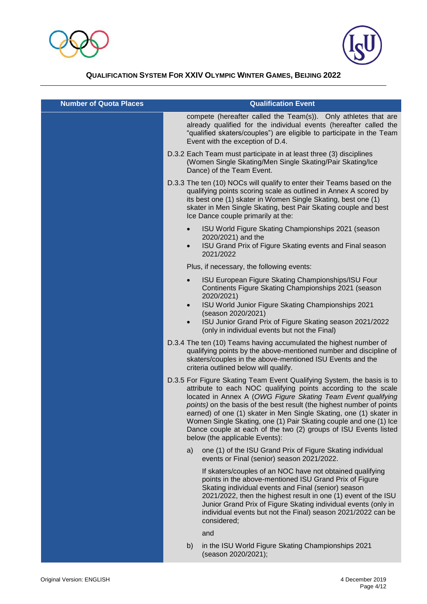



| <b>Number of Quota Places</b> | <b>Qualification Event</b>                                                                                                                                                                                                                                                                                                                                                                                                                                                                                                        |
|-------------------------------|-----------------------------------------------------------------------------------------------------------------------------------------------------------------------------------------------------------------------------------------------------------------------------------------------------------------------------------------------------------------------------------------------------------------------------------------------------------------------------------------------------------------------------------|
|                               | compete (hereafter called the Team(s)). Only athletes that are<br>already qualified for the individual events (hereafter called the<br>"qualified skaters/couples") are eligible to participate in the Team<br>Event with the exception of D.4.                                                                                                                                                                                                                                                                                   |
|                               | D.3.2 Each Team must participate in at least three (3) disciplines<br>(Women Single Skating/Men Single Skating/Pair Skating/Ice<br>Dance) of the Team Event.                                                                                                                                                                                                                                                                                                                                                                      |
|                               | D.3.3 The ten (10) NOCs will qualify to enter their Teams based on the<br>qualifying points scoring scale as outlined in Annex A scored by<br>its best one (1) skater in Women Single Skating, best one (1)<br>skater in Men Single Skating, best Pair Skating couple and best<br>Ice Dance couple primarily at the:                                                                                                                                                                                                              |
|                               | ISU World Figure Skating Championships 2021 (season<br>$\bullet$<br>2020/2021) and the<br>ISU Grand Prix of Figure Skating events and Final season<br>$\bullet$<br>2021/2022                                                                                                                                                                                                                                                                                                                                                      |
|                               | Plus, if necessary, the following events:                                                                                                                                                                                                                                                                                                                                                                                                                                                                                         |
|                               | ISU European Figure Skating Championships/ISU Four<br>$\bullet$<br>Continents Figure Skating Championships 2021 (season<br>2020/2021)                                                                                                                                                                                                                                                                                                                                                                                             |
|                               | ISU World Junior Figure Skating Championships 2021<br>$\bullet$<br>(season 2020/2021)<br>ISU Junior Grand Prix of Figure Skating season 2021/2022<br>$\bullet$<br>(only in individual events but not the Final)                                                                                                                                                                                                                                                                                                                   |
|                               | D.3.4 The ten (10) Teams having accumulated the highest number of<br>qualifying points by the above-mentioned number and discipline of<br>skaters/couples in the above-mentioned ISU Events and the<br>criteria outlined below will qualify.                                                                                                                                                                                                                                                                                      |
|                               | D.3.5 For Figure Skating Team Event Qualifying System, the basis is to<br>attribute to each NOC qualifying points according to the scale<br>located in Annex A (OWG Figure Skating Team Event qualifying<br>points) on the basis of the best result (the highest number of points<br>earned) of one (1) skater in Men Single Skating, one (1) skater in<br>Women Single Skating, one (1) Pair Skating couple and one (1) Ice<br>Dance couple at each of the two (2) groups of ISU Events listed<br>below (the applicable Events): |
|                               | one (1) of the ISU Grand Prix of Figure Skating individual<br>a)<br>events or Final (senior) season 2021/2022.                                                                                                                                                                                                                                                                                                                                                                                                                    |
|                               | If skaters/couples of an NOC have not obtained qualifying<br>points in the above-mentioned ISU Grand Prix of Figure<br>Skating individual events and Final (senior) season<br>2021/2022, then the highest result in one (1) event of the ISU<br>Junior Grand Prix of Figure Skating individual events (only in<br>individual events but not the Final) season 2021/2022 can be<br>considered;                                                                                                                                     |
|                               | and                                                                                                                                                                                                                                                                                                                                                                                                                                                                                                                               |
|                               | in the ISU World Figure Skating Championships 2021<br>b)<br>(season 2020/2021);                                                                                                                                                                                                                                                                                                                                                                                                                                                   |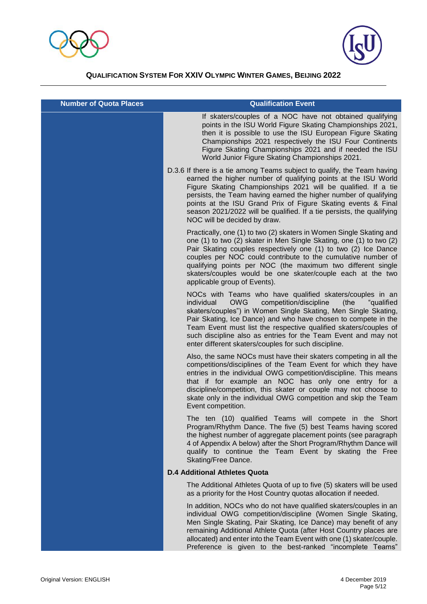



| <b>Number of Quota Places</b> | <b>Qualification Event</b>                                                                                                                                                                                                                                                                                                                                                                                                                                             |
|-------------------------------|------------------------------------------------------------------------------------------------------------------------------------------------------------------------------------------------------------------------------------------------------------------------------------------------------------------------------------------------------------------------------------------------------------------------------------------------------------------------|
|                               | If skaters/couples of a NOC have not obtained qualifying<br>points in the ISU World Figure Skating Championships 2021,<br>then it is possible to use the ISU European Figure Skating<br>Championships 2021 respectively the ISU Four Continents<br>Figure Skating Championships 2021 and if needed the ISU<br>World Junior Figure Skating Championships 2021.                                                                                                          |
|                               | D.3.6 If there is a tie among Teams subject to qualify, the Team having<br>earned the higher number of qualifying points at the ISU World<br>Figure Skating Championships 2021 will be qualified. If a tie<br>persists, the Team having earned the higher number of qualifying<br>points at the ISU Grand Prix of Figure Skating events & Final<br>season 2021/2022 will be qualified. If a tie persists, the qualifying<br>NOC will be decided by draw.               |
|                               | Practically, one (1) to two (2) skaters in Women Single Skating and<br>one (1) to two (2) skater in Men Single Skating, one (1) to two (2)<br>Pair Skating couples respectively one (1) to two (2) Ice Dance<br>couples per NOC could contribute to the cumulative number of<br>qualifying points per NOC (the maximum two different single<br>skaters/couples would be one skater/couple each at the two<br>applicable group of Events).                              |
|                               | NOCs with Teams who have qualified skaters/couples in an<br>individual<br><b>OWG</b><br>competition/discipline<br>(the<br>"qualified<br>skaters/couples") in Women Single Skating, Men Single Skating,<br>Pair Skating, Ice Dance) and who have chosen to compete in the<br>Team Event must list the respective qualified skaters/couples of<br>such discipline also as entries for the Team Event and may not<br>enter different skaters/couples for such discipline. |
|                               | Also, the same NOCs must have their skaters competing in all the<br>competitions/disciplines of the Team Event for which they have<br>entries in the individual OWG competition/discipline. This means<br>that if for example an NOC has only one entry for a<br>discipline/competition, this skater or couple may not choose to<br>skate only in the individual OWG competition and skip the Team<br>Event competition.                                               |
|                               | The ten (10) qualified Teams will compete in the Short<br>Program/Rhythm Dance. The five (5) best Teams having scored<br>the highest number of aggregate placement points (see paragraph<br>4 of Appendix A below) after the Short Program/Rhythm Dance will<br>qualify to continue the Team Event by skating the Free<br>Skating/Free Dance.                                                                                                                          |
|                               | <b>D.4 Additional Athletes Quota</b>                                                                                                                                                                                                                                                                                                                                                                                                                                   |
|                               | The Additional Athletes Quota of up to five (5) skaters will be used<br>as a priority for the Host Country quotas allocation if needed.                                                                                                                                                                                                                                                                                                                                |
|                               | In addition, NOCs who do not have qualified skaters/couples in an<br>individual OWG competition/discipline (Women Single Skating,<br>Men Single Skating, Pair Skating, Ice Dance) may benefit of any<br>remaining Additional Athlete Quota (after Host Country places are<br>allocated) and enter into the Team Event with one (1) skater/couple.<br>Preference is given to the best-ranked "incomplete Teams"                                                         |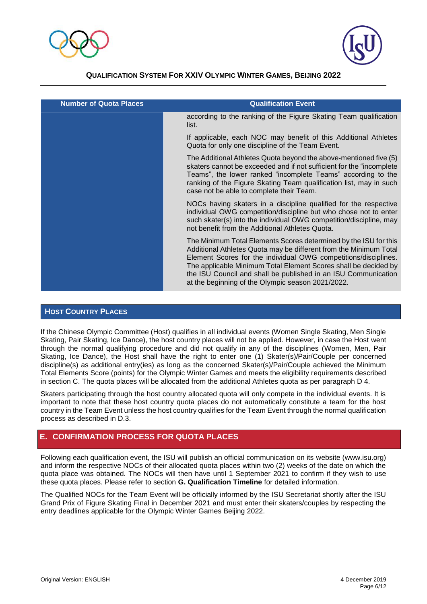



| <b>Number of Quota Places</b> | <b>Qualification Event</b>                                                                                                                                                                                                                                                                                                                                                                         |
|-------------------------------|----------------------------------------------------------------------------------------------------------------------------------------------------------------------------------------------------------------------------------------------------------------------------------------------------------------------------------------------------------------------------------------------------|
|                               | according to the ranking of the Figure Skating Team qualification<br>list.                                                                                                                                                                                                                                                                                                                         |
|                               | If applicable, each NOC may benefit of this Additional Athletes<br>Quota for only one discipline of the Team Event.                                                                                                                                                                                                                                                                                |
|                               | The Additional Athletes Quota beyond the above-mentioned five (5)<br>skaters cannot be exceeded and if not sufficient for the "incomplete<br>Teams", the lower ranked "incomplete Teams" according to the<br>ranking of the Figure Skating Team qualification list, may in such<br>case not be able to complete their Team.                                                                        |
|                               | NOCs having skaters in a discipline qualified for the respective<br>individual OWG competition/discipline but who chose not to enter<br>such skater(s) into the individual OWG competition/discipline, may<br>not benefit from the Additional Athletes Quota.                                                                                                                                      |
|                               | The Minimum Total Elements Scores determined by the ISU for this<br>Additional Athletes Quota may be different from the Minimum Total<br>Element Scores for the individual OWG competitions/disciplines.<br>The applicable Minimum Total Element Scores shall be decided by<br>the ISU Council and shall be published in an ISU Communication<br>at the beginning of the Olympic season 2021/2022. |

#### **HOST COUNTRY PLACES**

If the Chinese Olympic Committee (Host) qualifies in all individual events (Women Single Skating, Men Single Skating, Pair Skating, Ice Dance), the host country places will not be applied. However, in case the Host went through the normal qualifying procedure and did not qualify in any of the disciplines (Women, Men, Pair Skating, Ice Dance), the Host shall have the right to enter one (1) Skater(s)/Pair/Couple per concerned discipline(s) as additional entry(ies) as long as the concerned Skater(s)/Pair/Couple achieved the Minimum Total Elements Score (points) for the Olympic Winter Games and meets the eligibility requirements described in section C. The quota places will be allocated from the additional Athletes quota as per paragraph D 4.

Skaters participating through the host country allocated quota will only compete in the individual events. It is important to note that these host country quota places do not automatically constitute a team for the host country in the Team Event unless the host country qualifies for the Team Event through the normal qualification process as described in D.3.

## **E. CONFIRMATION PROCESS FOR QUOTA PLACES**

Following each qualification event, the ISU will publish an official communication on its website (www.isu.org) and inform the respective NOCs of their allocated quota places within two (2) weeks of the date on which the quota place was obtained. The NOCs will then have until 1 September 2021 to confirm if they wish to use these quota places. Please refer to section **G. Qualification Timeline** for detailed information.

The Qualified NOCs for the Team Event will be officially informed by the ISU Secretariat shortly after the ISU Grand Prix of Figure Skating Final in December 2021 and must enter their skaters/couples by respecting the entry deadlines applicable for the Olympic Winter Games Beijing 2022.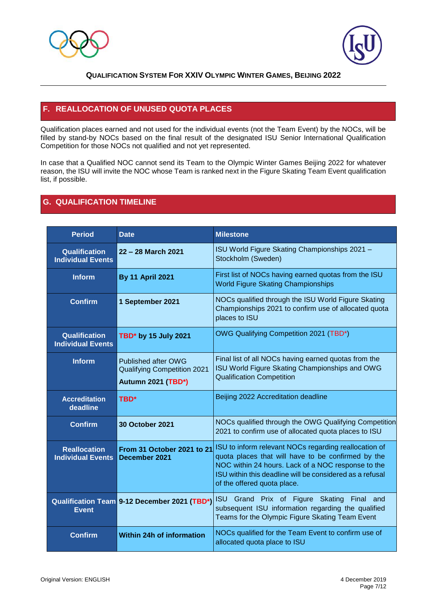



# **F. REALLOCATION OF UNUSED QUOTA PLACES**

Qualification places earned and not used for the individual events (not the Team Event) by the NOCs, will be filled by stand-by NOCs based on the final result of the designated ISU Senior International Qualification Competition for those NOCs not qualified and not yet represented.

In case that a Qualified NOC cannot send its Team to the Olympic Winter Games Beijing 2022 for whatever reason, the ISU will invite the NOC whose Team is ranked next in the Figure Skating Team Event qualification list, if possible.

### **G. QUALIFICATION TIMELINE**

| <b>Period</b>                                    | <b>Date</b>                                                                                   | <b>Milestone</b>                                                                                                                                                                                                                                             |
|--------------------------------------------------|-----------------------------------------------------------------------------------------------|--------------------------------------------------------------------------------------------------------------------------------------------------------------------------------------------------------------------------------------------------------------|
| <b>Qualification</b><br><b>Individual Events</b> | 22 - 28 March 2021                                                                            | ISU World Figure Skating Championships 2021 -<br>Stockholm (Sweden)                                                                                                                                                                                          |
| <b>Inform</b>                                    | <b>By 11 April 2021</b>                                                                       | First list of NOCs having earned quotas from the ISU<br><b>World Figure Skating Championships</b>                                                                                                                                                            |
| <b>Confirm</b>                                   | 1 September 2021                                                                              | NOCs qualified through the ISU World Figure Skating<br>Championships 2021 to confirm use of allocated quota<br>places to ISU                                                                                                                                 |
| <b>Qualification</b><br><b>Individual Events</b> | TBD* by 15 July 2021                                                                          | OWG Qualifying Competition 2021 (TBD*)                                                                                                                                                                                                                       |
| <b>Inform</b>                                    | <b>Published after OWG</b><br><b>Qualifying Competition 2021</b><br><b>Autumn 2021 (TBD*)</b> | Final list of all NOCs having earned quotas from the<br>ISU World Figure Skating Championships and OWG<br><b>Qualification Competition</b>                                                                                                                   |
| <b>Accreditation</b><br>deadline                 | <b>TBD*</b>                                                                                   | Beijing 2022 Accreditation deadline                                                                                                                                                                                                                          |
| <b>Confirm</b>                                   | <b>30 October 2021</b>                                                                        | NOCs qualified through the OWG Qualifying Competition<br>2021 to confirm use of allocated quota places to ISU                                                                                                                                                |
| <b>Reallocation</b><br><b>Individual Events</b>  | From 31 October 2021 to 21<br>December 2021                                                   | ISU to inform relevant NOCs regarding reallocation of<br>quota places that will have to be confirmed by the<br>NOC within 24 hours. Lack of a NOC response to the<br>ISU within this deadline will be considered as a refusal<br>of the offered quota place. |
| <b>Event</b>                                     | Qualification Team 9-12 December 2021 (TBD*)                                                  | ISU Grand Prix of Figure Skating Final and<br>subsequent ISU information regarding the qualified<br>Teams for the Olympic Figure Skating Team Event                                                                                                          |
| <b>Confirm</b>                                   | <b>Within 24h of information</b>                                                              | NOCs qualified for the Team Event to confirm use of<br>allocated quota place to ISU                                                                                                                                                                          |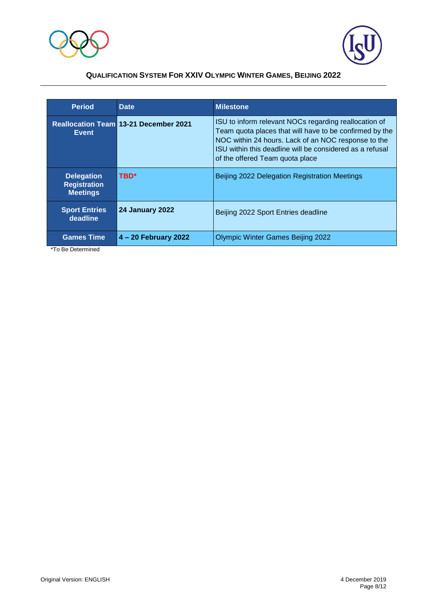



| <b>Period</b>                                               | Date                                         | <b>Milestone</b>                                                                                                                                                                                                                                                       |
|-------------------------------------------------------------|----------------------------------------------|------------------------------------------------------------------------------------------------------------------------------------------------------------------------------------------------------------------------------------------------------------------------|
| Event                                                       | <b>Reallocation Team 13-21 December 2021</b> | ISU to inform relevant NOCs regarding reallocation of<br>Team quota places that will have to be confirmed by the<br>NOC within 24 hours. Lack of an NOC response to the<br>ISU within this deadline will be considered as a refusal<br>of the offered Team quota place |
| <b>Delegation</b><br><b>Registration</b><br><b>Meetings</b> | TBD*                                         | Beijing 2022 Delegation Registration Meetings                                                                                                                                                                                                                          |
| <b>Sport Entries</b><br>deadline                            | <b>24 January 2022</b>                       | Beijing 2022 Sport Entries deadline                                                                                                                                                                                                                                    |
| <b>Games Time</b>                                           | $4 - 20$ February 2022                       | <b>Olympic Winter Games Beijing 2022</b>                                                                                                                                                                                                                               |

\*To Be Determined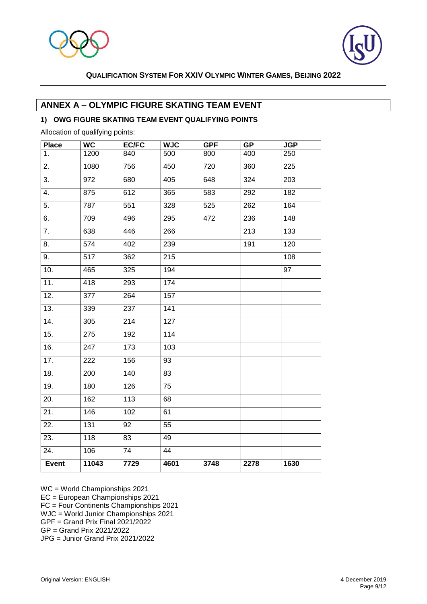



## **ANNEX A – OLYMPIC FIGURE SKATING TEAM EVENT**

#### **1) OWG FIGURE SKATING TEAM EVENT QUALIFYING POINTS**

Allocation of qualifying points:

| <b>Place</b> | <b>WC</b>        | <b>EC/FC</b>    | <b>WJC</b>      | <b>GPF</b> | <b>GP</b> | <b>JGP</b> |
|--------------|------------------|-----------------|-----------------|------------|-----------|------------|
| 1.           | 1200             | 840             | 500             | 800        | 400       | 250        |
| 2.           | 1080             | 756             | 450             | 720        | 360       | 225        |
| 3.           | 972              | 680             | 405             | 648        | 324       | 203        |
| 4.           | 875              | 612             | 365             | 583        | 292       | 182        |
| 5.           | 787              | 551             | 328             | 525        | 262       | 164        |
| 6.           | 709              | 496             | 295             | 472        | 236       | 148        |
| 7.           | 638              | 446             | 266             |            | 213       | 133        |
| 8.           | 574              | 402             | 239             |            | 191       | 120        |
| 9.           | 517              | 362             | 215             |            |           | 108        |
| 10.          | 465              | 325             | 194             |            |           | 97         |
| 11.          | 418              | 293             | 174             |            |           |            |
| 12.          | 377              | 264             | 157             |            |           |            |
| 13.          | 339              | 237             | 141             |            |           |            |
| 14.          | 305              | 214             | 127             |            |           |            |
| 15.          | 275              | 192             | 114             |            |           |            |
| 16.          | 247              | 173             | 103             |            |           |            |
| 17.          | 222              | 156             | 93              |            |           |            |
| 18.          | 200              | 140             | 83              |            |           |            |
| 19.          | 180              | 126             | 75              |            |           |            |
| 20.          | 162              | 113             | 68              |            |           |            |
| 21.          | 146              | 102             | 61              |            |           |            |
| 22.          | $\overline{131}$ | $\overline{92}$ | $\overline{55}$ |            |           |            |
| 23.          | 118              | 83              | 49              |            |           |            |
| 24.          | 106              | $\overline{74}$ | 44              |            |           |            |
| Event        | 11043            | 7729            | 4601            | 3748       | 2278      | 1630       |

WC = World Championships 2021

EC = European Championships 2021

FC = Four Continents Championships 2021

WJC = World Junior Championships 2021

 $GPF = Grand Prix Final 2021/2022$ GP = Grand Prix 2021/2022

JPG = Junior Grand Prix 2021/2022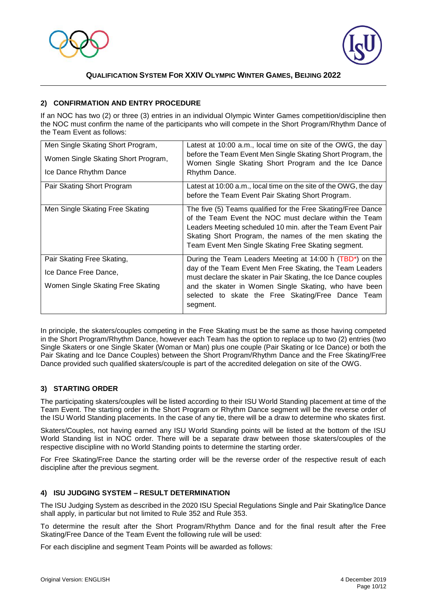



#### **2) CONFIRMATION AND ENTRY PROCEDURE**

If an NOC has two (2) or three (3) entries in an individual Olympic Winter Games competition/discipline then the NOC must confirm the name of the participants who will compete in the Short Program/Rhythm Dance of the Team Event as follows:

| Men Single Skating Short Program,<br>Women Single Skating Short Program,<br>Ice Dance Rhythm Dance | Latest at 10:00 a.m., local time on site of the OWG, the day<br>before the Team Event Men Single Skating Short Program, the<br>Women Single Skating Short Program and the Ice Dance<br>Rhythm Dance.                                                                                                    |
|----------------------------------------------------------------------------------------------------|---------------------------------------------------------------------------------------------------------------------------------------------------------------------------------------------------------------------------------------------------------------------------------------------------------|
| Pair Skating Short Program                                                                         | Latest at 10:00 a.m., local time on the site of the OWG, the day<br>before the Team Event Pair Skating Short Program.                                                                                                                                                                                   |
| Men Single Skating Free Skating                                                                    | The five (5) Teams qualified for the Free Skating/Free Dance<br>of the Team Event the NOC must declare within the Team<br>Leaders Meeting scheduled 10 min. after the Team Event Pair<br>Skating Short Program, the names of the men skating the<br>Team Event Men Single Skating Free Skating segment. |
| Pair Skating Free Skating,<br>Ice Dance Free Dance,                                                | During the Team Leaders Meeting at 14:00 h (TBD*) on the<br>day of the Team Event Men Free Skating, the Team Leaders<br>must declare the skater in Pair Skating, the Ice Dance couples                                                                                                                  |
| Women Single Skating Free Skating                                                                  | and the skater in Women Single Skating, who have been<br>selected to skate the Free Skating/Free Dance Team<br>segment.                                                                                                                                                                                 |

In principle, the skaters/couples competing in the Free Skating must be the same as those having competed in the Short Program/Rhythm Dance, however each Team has the option to replace up to two (2) entries (two Single Skaters or one Single Skater (Woman or Man) plus one couple (Pair Skating or Ice Dance) or both the Pair Skating and Ice Dance Couples) between the Short Program/Rhythm Dance and the Free Skating/Free Dance provided such qualified skaters/couple is part of the accredited delegation on site of the OWG.

#### **3) STARTING ORDER**

The participating skaters/couples will be listed according to their ISU World Standing placement at time of the Team Event. The starting order in the Short Program or Rhythm Dance segment will be the reverse order of the ISU World Standing placements. In the case of any tie, there will be a draw to determine who skates first.

Skaters/Couples, not having earned any ISU World Standing points will be listed at the bottom of the ISU World Standing list in NOC order. There will be a separate draw between those skaters/couples of the respective discipline with no World Standing points to determine the starting order.

For Free Skating/Free Dance the starting order will be the reverse order of the respective result of each discipline after the previous segment.

#### **4) ISU JUDGING SYSTEM – RESULT DETERMINATION**

The ISU Judging System as described in the 2020 ISU Special Regulations Single and Pair Skating/Ice Dance shall apply, in particular but not limited to Rule 352 and Rule 353.

To determine the result after the Short Program/Rhythm Dance and for the final result after the Free Skating/Free Dance of the Team Event the following rule will be used:

For each discipline and segment Team Points will be awarded as follows: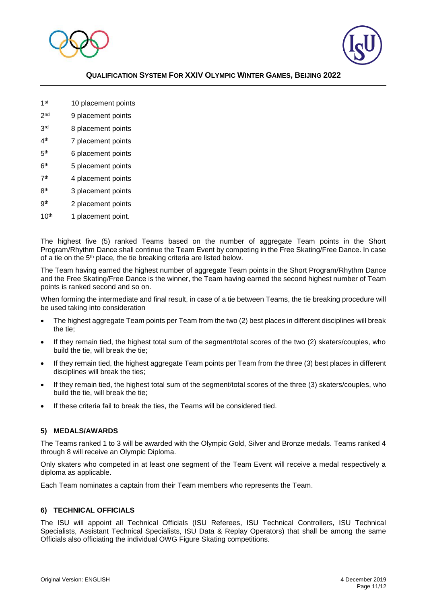



- 1<sup>st</sup> 10 placement points
- $2<sub>nd</sub>$ 9 placement points
- **3rd** 8 placement points
- $4<sup>th</sup>$ 7 placement points
- $5<sup>th</sup>$ 6 placement points
- 6<sup>th</sup> 5 placement points
- $7<sup>th</sup>$ 4 placement points
- 8<sup>th</sup> 3 placement points
- **gth** 2 placement points
- 10<sup>th</sup> 1 placement point.

The highest five (5) ranked Teams based on the number of aggregate Team points in the Short Program/Rhythm Dance shall continue the Team Event by competing in the Free Skating/Free Dance. In case of a tie on the 5<sup>th</sup> place, the tie breaking criteria are listed below.

The Team having earned the highest number of aggregate Team points in the Short Program/Rhythm Dance and the Free Skating/Free Dance is the winner, the Team having earned the second highest number of Team points is ranked second and so on.

When forming the intermediate and final result, in case of a tie between Teams, the tie breaking procedure will be used taking into consideration

- The highest aggregate Team points per Team from the two (2) best places in different disciplines will break the tie;
- If they remain tied, the highest total sum of the segment/total scores of the two (2) skaters/couples, who build the tie, will break the tie;
- If they remain tied, the highest aggregate Team points per Team from the three (3) best places in different disciplines will break the ties;
- If they remain tied, the highest total sum of the segment/total scores of the three (3) skaters/couples, who build the tie, will break the tie;
- If these criteria fail to break the ties, the Teams will be considered tied.

#### **5) MEDALS/AWARDS**

The Teams ranked 1 to 3 will be awarded with the Olympic Gold, Silver and Bronze medals. Teams ranked 4 through 8 will receive an Olympic Diploma.

Only skaters who competed in at least one segment of the Team Event will receive a medal respectively a diploma as applicable.

Each Team nominates a captain from their Team members who represents the Team.

#### **6) TECHNICAL OFFICIALS**

The ISU will appoint all Technical Officials (ISU Referees, ISU Technical Controllers, ISU Technical Specialists, Assistant Technical Specialists, ISU Data & Replay Operators) that shall be among the same Officials also officiating the individual OWG Figure Skating competitions.